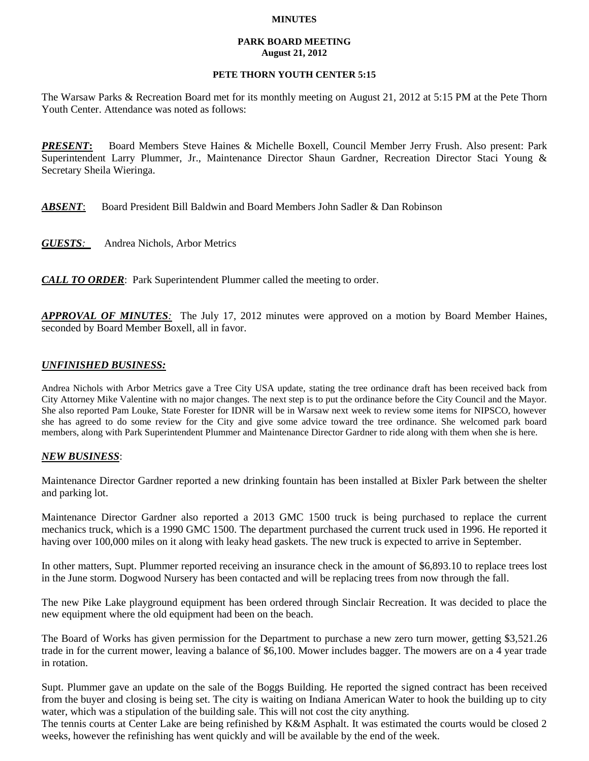### **MINUTES**

### **PARK BOARD MEETING August 21, 2012**

## **PETE THORN YOUTH CENTER 5:15**

The Warsaw Parks & Recreation Board met for its monthly meeting on August 21, 2012 at 5:15 PM at the Pete Thorn Youth Center. Attendance was noted as follows:

*PRESENT***:** Board Members Steve Haines & Michelle Boxell, Council Member Jerry Frush. Also present: Park Superintendent Larry Plummer, Jr., Maintenance Director Shaun Gardner, Recreation Director Staci Young & Secretary Sheila Wieringa.

*ABSENT*: Board President Bill Baldwin and Board Members John Sadler & Dan Robinson

*GUESTS:*Andrea Nichols, Arbor Metrics

*CALL TO ORDER*: Park Superintendent Plummer called the meeting to order.

*APPROVAL OF MINUTES:* The July 17, 2012 minutes were approved on a motion by Board Member Haines, seconded by Board Member Boxell, all in favor.

# *UNFINISHED BUSINESS:*

Andrea Nichols with Arbor Metrics gave a Tree City USA update, stating the tree ordinance draft has been received back from City Attorney Mike Valentine with no major changes. The next step is to put the ordinance before the City Council and the Mayor. She also reported Pam Louke, State Forester for IDNR will be in Warsaw next week to review some items for NIPSCO, however she has agreed to do some review for the City and give some advice toward the tree ordinance. She welcomed park board members, along with Park Superintendent Plummer and Maintenance Director Gardner to ride along with them when she is here.

## *NEW BUSINESS*:

Maintenance Director Gardner reported a new drinking fountain has been installed at Bixler Park between the shelter and parking lot.

Maintenance Director Gardner also reported a 2013 GMC 1500 truck is being purchased to replace the current mechanics truck, which is a 1990 GMC 1500. The department purchased the current truck used in 1996. He reported it having over 100,000 miles on it along with leaky head gaskets. The new truck is expected to arrive in September.

In other matters, Supt. Plummer reported receiving an insurance check in the amount of \$6,893.10 to replace trees lost in the June storm. Dogwood Nursery has been contacted and will be replacing trees from now through the fall.

The new Pike Lake playground equipment has been ordered through Sinclair Recreation. It was decided to place the new equipment where the old equipment had been on the beach.

The Board of Works has given permission for the Department to purchase a new zero turn mower, getting \$3,521.26 trade in for the current mower, leaving a balance of \$6,100. Mower includes bagger. The mowers are on a 4 year trade in rotation.

Supt. Plummer gave an update on the sale of the Boggs Building. He reported the signed contract has been received from the buyer and closing is being set. The city is waiting on Indiana American Water to hook the building up to city water, which was a stipulation of the building sale. This will not cost the city anything.

The tennis courts at Center Lake are being refinished by K&M Asphalt. It was estimated the courts would be closed 2 weeks, however the refinishing has went quickly and will be available by the end of the week.